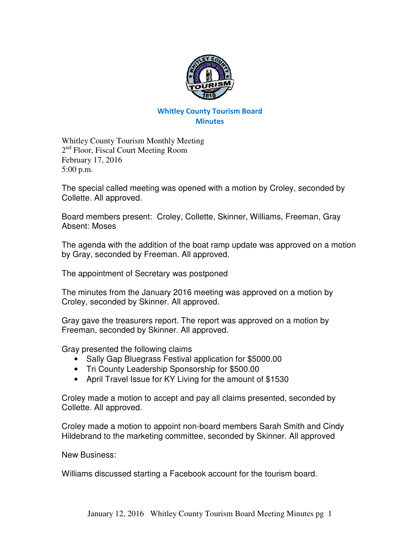

## Whitley County Tourism Board **Minutes**

Whitley County Tourism Monthly Meeting 2<sup>nd</sup> Floor, Fiscal Court Meeting Room February 17, 2016 5:00 p.m.

The special called meeting was opened with a motion by Croley, seconded by Collette. All approved.

Board members present: Croley, Collette, Skinner, Williams, Freeman, Gray Absent: Moses

The agenda with the addition of the boat ramp update was approved on a motion by Gray, seconded by Freeman. All approved.

The appointment of Secretary was postponed

The minutes from the January 2016 meeting was approved on a motion by Croley, seconded by Skinner. All approved.

Gray gave the treasurers report. The report was approved on a motion by Freeman, seconded by Skinner. All approved.

Gray presented the following claims

- Sally Gap Bluegrass Festival application for \$5000.00
- Tri County Leadership Sponsorship for \$500.00
- April Travel Issue for KY Living for the amount of \$1530

Croley made a motion to accept and pay all claims presented, seconded by Collette. All approved.

Croley made a motion to appoint non-board members Sarah Smith and Cindy Hildebrand to the marketing committee, seconded by Skinner. All approved

New Business:

Williams discussed starting a Facebook account for the tourism board.